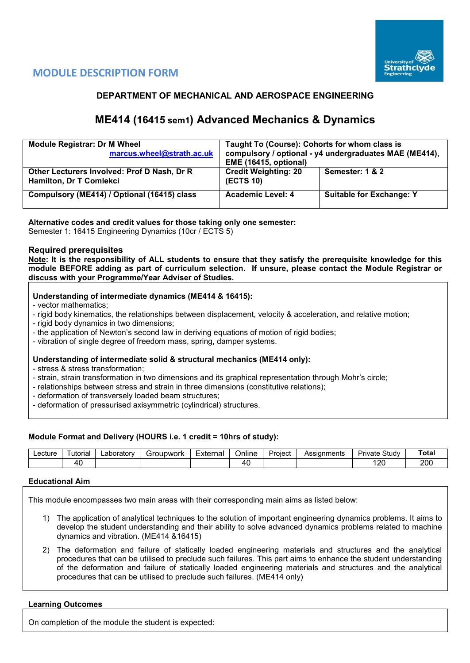

## **MODULE DESCRIPTION FORM**

## **DEPARTMENT OF MECHANICAL AND AEROSPACE ENGINEERING**

# **ME414 (16415 sem1) Advanced Mechanics & Dynamics**

| <b>Module Registrar: Dr M Wheel</b><br>marcus.wheel@strath.ac.uk       | Taught To (Course): Cohorts for whom class is<br>compulsory / optional - y4 undergraduates MAE (ME414),<br><b>EME (16415, optional)</b> |                                 |  |  |  |  |  |
|------------------------------------------------------------------------|-----------------------------------------------------------------------------------------------------------------------------------------|---------------------------------|--|--|--|--|--|
| Other Lecturers Involved: Prof D Nash, Dr R<br>Hamilton, Dr T Comlekci | <b>Credit Weighting: 20</b><br><b>(ECTS 10)</b>                                                                                         | Semester: 1 & 2                 |  |  |  |  |  |
| Compulsory (ME414) / Optional (16415) class                            | Academic Level: 4                                                                                                                       | <b>Suitable for Exchange: Y</b> |  |  |  |  |  |

## **Alternative codes and credit values for those taking only one semester:**

Semester 1: 16415 Engineering Dynamics (10cr / ECTS 5)

## **Required prerequisites**

**Note: It is the responsibility of ALL students to ensure that they satisfy the prerequisite knowledge for this module BEFORE adding as part of curriculum selection. If unsure, please contact the Module Registrar or discuss with your Programme/Year Adviser of Studies.**

## **Understanding of intermediate dynamics (ME414 & 16415):**

- vector mathematics;
- rigid body kinematics, the relationships between displacement, velocity & acceleration, and relative motion;
- rigid body dynamics in two dimensions;
- the application of Newton's second law in deriving equations of motion of rigid bodies;
- vibration of single degree of freedom mass, spring, damper systems.

## **Understanding of intermediate solid & structural mechanics (ME414 only):**

- stress & stress transformation;
- strain, strain transformation in two dimensions and its graphical representation through Mohr's circle;
- relationships between stress and strain in three dimensions (constitutive relations);
- deformation of transversely loaded beam structures;
- deformation of pressurised axisymmetric (cylindrical) structures.

#### **Module Format and Delivery (HOURS i.e. 1 credit = 10hrs of study):**

| _ecture | utorial | ∟aborator⊵ | iroupwork<br>ור' | External | Online    | Project | Assianments | Study<br>Private | <b>Total</b> |
|---------|---------|------------|------------------|----------|-----------|---------|-------------|------------------|--------------|
|         | 40      |            |                  |          | 71<br>. . |         |             | חרי<br>∣∠∪       | 200          |

#### **Educational Aim**

This module encompasses two main areas with their corresponding main aims as listed below:

- 1) The application of analytical techniques to the solution of important engineering dynamics problems. It aims to develop the student understanding and their ability to solve advanced dynamics problems related to machine dynamics and vibration. (ME414 &16415)
- 2) The deformation and failure of statically loaded engineering materials and structures and the analytical procedures that can be utilised to preclude such failures. This part aims to enhance the student understanding of the deformation and failure of statically loaded engineering materials and structures and the analytical procedures that can be utilised to preclude such failures. (ME414 only)

#### **Learning Outcomes**

On completion of the module the student is expected: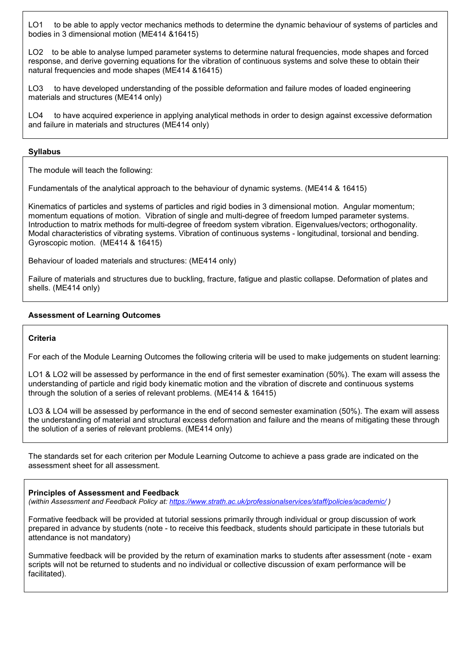LO1 to be able to apply vector mechanics methods to determine the dynamic behaviour of systems of particles and bodies in 3 dimensional motion (ME414 &16415)

LO2 to be able to analyse lumped parameter systems to determine natural frequencies, mode shapes and forced response, and derive governing equations for the vibration of continuous systems and solve these to obtain their natural frequencies and mode shapes (ME414 &16415)

LO3 to have developed understanding of the possible deformation and failure modes of loaded engineering materials and structures (ME414 only)

LO4 to have acquired experience in applying analytical methods in order to design against excessive deformation and failure in materials and structures (ME414 only)

## **Syllabus**

The module will teach the following:

Fundamentals of the analytical approach to the behaviour of dynamic systems. (ME414 & 16415)

Kinematics of particles and systems of particles and rigid bodies in 3 dimensional motion. Angular momentum; momentum equations of motion. Vibration of single and multi-degree of freedom lumped parameter systems. Introduction to matrix methods for multi-degree of freedom system vibration. Eigenvalues/vectors; orthogonality. Modal characteristics of vibrating systems. Vibration of continuous systems - longitudinal, torsional and bending. Gyroscopic motion. (ME414 & 16415)

Behaviour of loaded materials and structures: (ME414 only)

Failure of materials and structures due to buckling, fracture, fatigue and plastic collapse. Deformation of plates and shells. (ME414 only)

## **Assessment of Learning Outcomes**

#### **Criteria**

For each of the Module Learning Outcomes the following criteria will be used to make judgements on student learning:

LO1 & LO2 will be assessed by performance in the end of first semester examination (50%). The exam will assess the understanding of particle and rigid body kinematic motion and the vibration of discrete and continuous systems through the solution of a series of relevant problems. (ME414 & 16415)

LO3 & LO4 will be assessed by performance in the end of second semester examination (50%). The exam will assess the understanding of material and structural excess deformation and failure and the means of mitigating these through the solution of a series of relevant problems. (ME414 only)

The standards set for each criterion per Module Learning Outcome to achieve a pass grade are indicated on the assessment sheet for all assessment.

#### **Principles of Assessment and Feedback**

*(within Assessment and Feedback Policy at: <https://www.strath.ac.uk/professionalservices/staff/policies/academic/> )*

Formative feedback will be provided at tutorial sessions primarily through individual or group discussion of work prepared in advance by students (note - to receive this feedback, students should participate in these tutorials but attendance is not mandatory)

Summative feedback will be provided by the return of examination marks to students after assessment (note - exam scripts will not be returned to students and no individual or collective discussion of exam performance will be facilitated).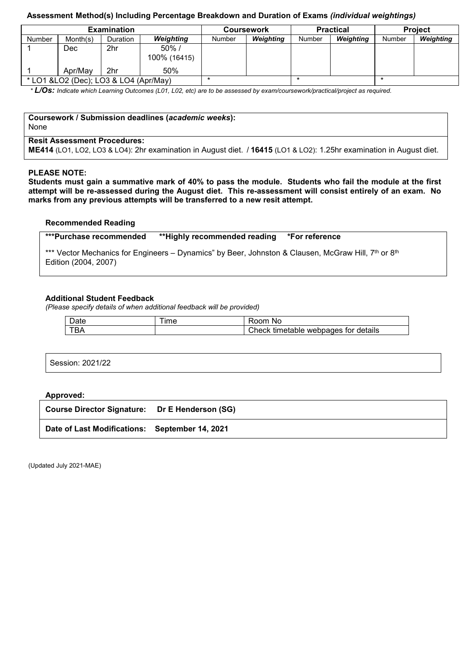## **Assessment Method(s) Including Percentage Breakdown and Duration of Exams** *(individual weightings)*

|                                        |          | <b>Examination</b> |                          |        | <b>Coursework</b> |        | <b>Practical</b> | <b>Project</b> |           |  |
|----------------------------------------|----------|--------------------|--------------------------|--------|-------------------|--------|------------------|----------------|-----------|--|
| Number                                 | Month(s) | Duration           | <b>Weighting</b>         | Number | Weighting         | Number | Weighting        | Number         | Weighting |  |
|                                        | Dec      | 2hr                | $50\%$ /<br>100% (16415) |        |                   |        |                  |                |           |  |
|                                        | Apr/May  | 2hr                | 50%                      |        |                   |        |                  |                |           |  |
| * LO1 & LO2 (Dec); LO3 & LO4 (Apr/May) |          |                    |                          |        |                   |        |                  |                |           |  |

*\* L/Os: Indicate which Learning Outcomes (L01, L02, etc) are to be assessed by exam/coursework/practical/project as required.*

**Coursework / Submission deadlines (***academic weeks***):**

None

## **Resit Assessment Procedures:**

**ME414** (LO1, LO2, LO3 & LO4): 2hr examination in August diet. / **16415** (LO1 & LO2): 1.25hr examination in August diet.

#### **PLEASE NOTE:**

**Students must gain a summative mark of 40% to pass the module. Students who fail the module at the first attempt will be re-assessed during the August diet. This re-assessment will consist entirely of an exam. No marks from any previous attempts will be transferred to a new resit attempt.**

#### **Recommended Reading**

| ***Purchase recommended<br>*For reference<br>**Highly recommended reading |  |
|---------------------------------------------------------------------------|--|
|---------------------------------------------------------------------------|--|

\*\*\* Vector Mechanics for Engineers – Dynamics" by Beer, Johnston & Clausen, McGraw Hill, 7th or  $8th$ Edition (2004, 2007)

#### **Additional Student Feedback**

*(Please specify details of when additional feedback will be provided)*

| Jate     | ime | nom<br>No                                     |
|----------|-----|-----------------------------------------------|
| -0<br>DA |     | Check<br>for details<br>webpages<br>timetable |

Session: 2021/22

#### **Approved:**

**Course Director Signature: Dr E Henderson (SG) Date of Last Modifications: September 14, 2021**

(Updated July 2021-MAE)